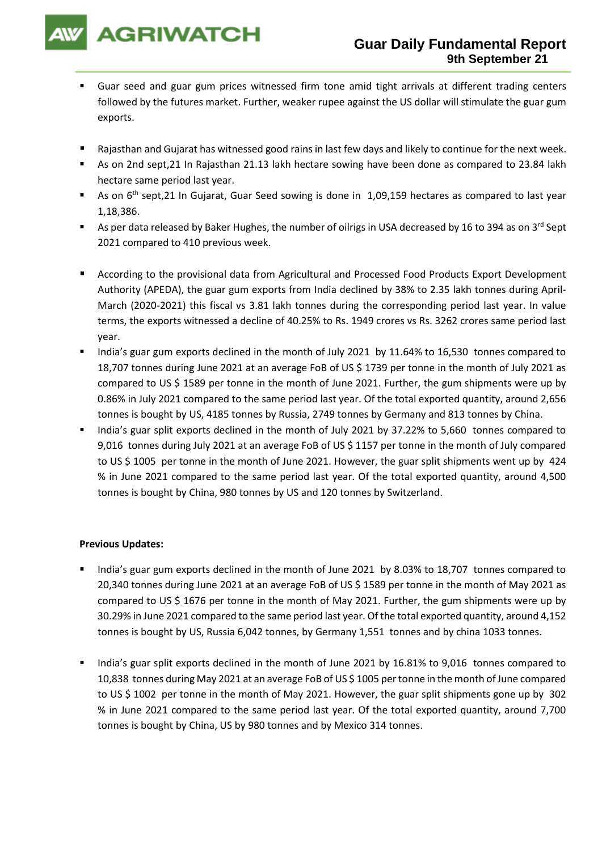

- Guar seed and guar gum prices witnessed firm tone amid tight arrivals at different trading centers followed by the futures market. Further, weaker rupee against the US dollar will stimulate the guar gum exports.
- Rajasthan and Gujarat has witnessed good rains in last few days and likely to continue for the next week.
- As on 2nd sept,21 In Rajasthan 21.13 lakh hectare sowing have been done as compared to 23.84 lakh hectare same period last year.
- As on 6<sup>th</sup> sept,21 In Gujarat, Guar Seed sowing is done in 1,09,159 hectares as compared to last year 1,18,386.
- As per data released by Baker Hughes, the number of oilrigs in USA decreased by 16 to 394 as on 3<sup>rd</sup> Sept 2021 compared to 410 previous week.
- According to the provisional data from Agricultural and Processed Food Products Export Development Authority (APEDA), the guar gum exports from India declined by 38% to 2.35 lakh tonnes during April-March (2020-2021) this fiscal vs 3.81 lakh tonnes during the corresponding period last year. In value terms, the exports witnessed a decline of 40.25% to Rs. 1949 crores vs Rs. 3262 crores same period last year.
- India's guar gum exports declined in the month of July 2021 by 11.64% to 16,530 tonnes compared to 18,707 tonnes during June 2021 at an average FoB of US \$ 1739 per tonne in the month of July 2021 as compared to US \$ 1589 per tonne in the month of June 2021. Further, the gum shipments were up by 0.86% in July 2021 compared to the same period last year. Of the total exported quantity, around 2,656 tonnes is bought by US, 4185 tonnes by Russia, 2749 tonnes by Germany and 813 tonnes by China.
- India's guar split exports declined in the month of July 2021 by 37.22% to 5,660 tonnes compared to 9,016 tonnes during July 2021 at an average FoB of US \$ 1157 per tonne in the month of July compared to US \$ 1005 per tonne in the month of June 2021. However, the guar split shipments went up by 424 % in June 2021 compared to the same period last year. Of the total exported quantity, around 4,500 tonnes is bought by China, 980 tonnes by US and 120 tonnes by Switzerland.

## **Previous Updates:**

- India's guar gum exports declined in the month of June 2021 by 8.03% to 18,707 tonnes compared to 20,340 tonnes during June 2021 at an average FoB of US \$ 1589 per tonne in the month of May 2021 as compared to US \$ 1676 per tonne in the month of May 2021. Further, the gum shipments were up by 30.29% in June 2021 compared to the same period last year. Of the total exported quantity, around 4,152 tonnes is bought by US, Russia 6,042 tonnes, by Germany 1,551 tonnes and by china 1033 tonnes.
- India's guar split exports declined in the month of June 2021 by 16.81% to 9,016 tonnes compared to 10,838 tonnes during May 2021 at an average FoB of US \$ 1005 per tonne in the month of June compared to US \$ 1002 per tonne in the month of May 2021. However, the guar split shipments gone up by 302 % in June 2021 compared to the same period last year. Of the total exported quantity, around 7,700 tonnes is bought by China, US by 980 tonnes and by Mexico 314 tonnes.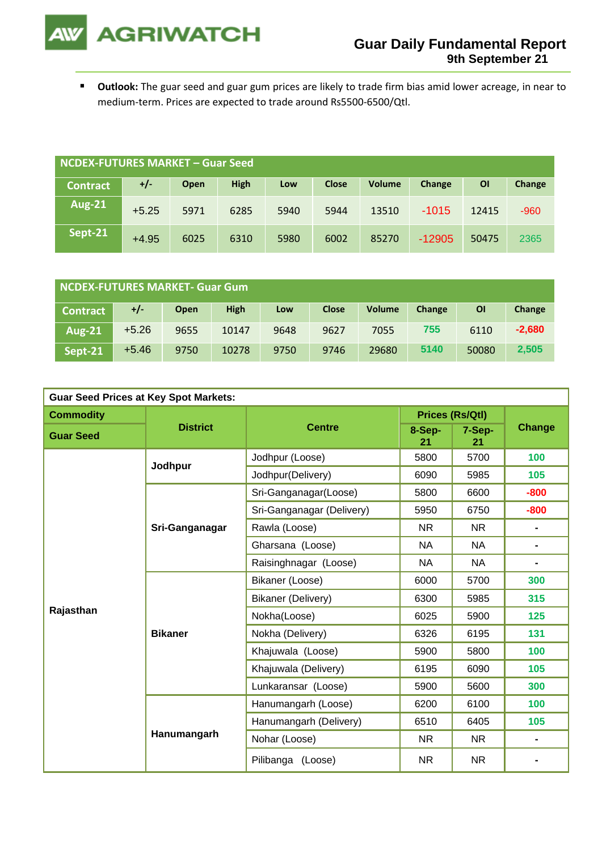**AGRIWATCH** 

▪ **Outlook:** The guar seed and guar gum prices are likely to trade firm bias amid lower acreage, in near to medium-term. Prices are expected to trade around Rs5500-6500/Qtl.

| NCDEX-FUTURES MARKET – Guar Seed |         |             |             |      |              |               |          |           |        |
|----------------------------------|---------|-------------|-------------|------|--------------|---------------|----------|-----------|--------|
| <b>Contract</b>                  | $+/-$   | <b>Open</b> | <b>High</b> | Low  | <b>Close</b> | <b>Volume</b> | Change   | <b>OI</b> | Change |
| <b>Aug-21</b>                    | $+5.25$ | 5971        | 6285        | 5940 | 5944         | 13510         | $-1015$  | 12415     | $-960$ |
| Sept-21                          | $+4.95$ | 6025        | 6310        | 5980 | 6002         | 85270         | $-12905$ | 50475     | 2365   |

| NCDEX-FUTURES MARKET- Guar Gum |         |      |             |      |              |               |        |       |          |
|--------------------------------|---------|------|-------------|------|--------------|---------------|--------|-------|----------|
| <b>Contract</b>                | +/-     | Open | <b>High</b> | Low  | <b>Close</b> | <b>Volume</b> | Change | ΟI    | Change   |
| <b>Aug-21</b>                  | $+5.26$ | 9655 | 10147       | 9648 | 9627         | 7055          | 755    | 6110  | $-2,680$ |
| Sept-21                        | $+5.46$ | 9750 | 10278       | 9750 | 9746         | 29680         | 5140   | 50080 | 2,505    |

| <b>Guar Seed Prices at Key Spot Markets:</b> |                 |                           |                        |              |                |  |  |  |
|----------------------------------------------|-----------------|---------------------------|------------------------|--------------|----------------|--|--|--|
| <b>Commodity</b>                             |                 | <b>Centre</b>             | <b>Prices (Rs/Qtl)</b> |              |                |  |  |  |
| <b>Guar Seed</b>                             | <b>District</b> |                           | 8-Sep-<br>21           | 7-Sep-<br>21 | <b>Change</b>  |  |  |  |
|                                              | Jodhpur         | Jodhpur (Loose)           | 5800                   | 5700         | 100            |  |  |  |
|                                              |                 | Jodhpur(Delivery)         | 6090                   | 5985         | 105            |  |  |  |
|                                              |                 | Sri-Ganganagar(Loose)     | 5800                   | 6600         | $-800$         |  |  |  |
|                                              |                 | Sri-Ganganagar (Delivery) | 5950                   | 6750         | $-800$         |  |  |  |
|                                              | Sri-Ganganagar  | Rawla (Loose)             | <b>NR</b>              | <b>NR</b>    | $\blacksquare$ |  |  |  |
|                                              |                 | Gharsana (Loose)          | <b>NA</b>              | <b>NA</b>    | -              |  |  |  |
|                                              |                 | Raisinghnagar (Loose)     | NA.                    | <b>NA</b>    | -              |  |  |  |
|                                              | <b>Bikaner</b>  | Bikaner (Loose)           | 6000                   | 5700         | 300            |  |  |  |
|                                              |                 | Bikaner (Delivery)        | 6300                   | 5985         | 315            |  |  |  |
| Rajasthan                                    |                 | Nokha(Loose)              | 6025                   | 5900         | 125            |  |  |  |
|                                              |                 | Nokha (Delivery)          | 6326                   | 6195         | 131            |  |  |  |
|                                              |                 | Khajuwala (Loose)         | 5900                   | 5800         | 100            |  |  |  |
|                                              |                 | Khajuwala (Delivery)      | 6195                   | 6090         | 105            |  |  |  |
|                                              |                 | Lunkaransar (Loose)       | 5900                   | 5600         | 300            |  |  |  |
|                                              |                 | Hanumangarh (Loose)       | 6200                   | 6100         | 100            |  |  |  |
|                                              | Hanumangarh     | Hanumangarh (Delivery)    | 6510                   | 6405         | 105            |  |  |  |
|                                              |                 | Nohar (Loose)             | NR.                    | NR.          | Ξ.             |  |  |  |
|                                              |                 | Pilibanga (Loose)         | <b>NR</b>              | <b>NR</b>    |                |  |  |  |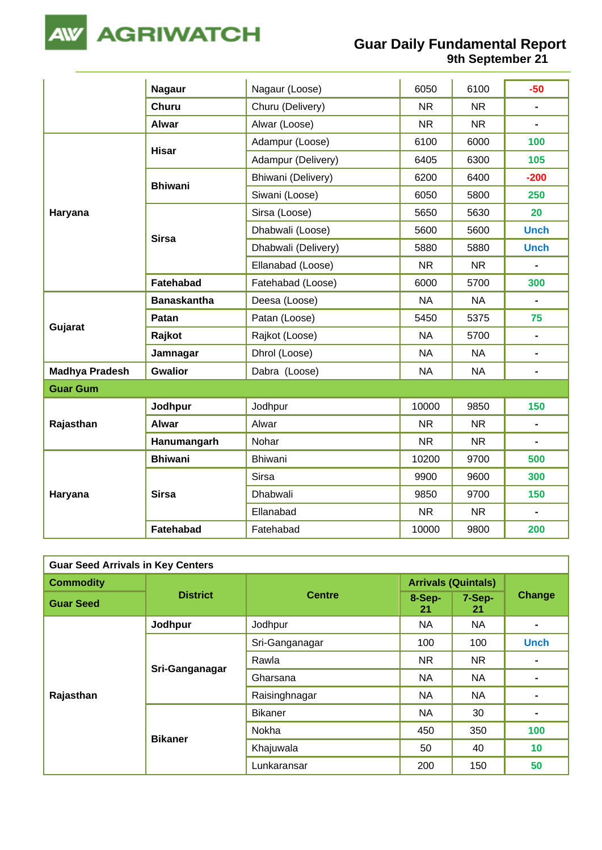

## **Guar Daily Fundamental Report 9th September 21**

|                       | <b>Nagaur</b>      | Nagaur (Loose)      | 6050      | 6100      | $-50$          |
|-----------------------|--------------------|---------------------|-----------|-----------|----------------|
|                       | <b>Churu</b>       | Churu (Delivery)    | <b>NR</b> | <b>NR</b> | $\blacksquare$ |
|                       | <b>Alwar</b>       | Alwar (Loose)       | <b>NR</b> | <b>NR</b> |                |
|                       | <b>Hisar</b>       | Adampur (Loose)     | 6100      | 6000      | 100            |
|                       |                    | Adampur (Delivery)  | 6405      | 6300      | 105            |
|                       | <b>Bhiwani</b>     | Bhiwani (Delivery)  | 6200      | 6400      | $-200$         |
|                       |                    | Siwani (Loose)      | 6050      | 5800      | 250            |
| Haryana               |                    | Sirsa (Loose)       | 5650      | 5630      | 20             |
|                       |                    | Dhabwali (Loose)    | 5600      | 5600      | <b>Unch</b>    |
|                       | <b>Sirsa</b>       | Dhabwali (Delivery) | 5880      | 5880      | <b>Unch</b>    |
|                       |                    | Ellanabad (Loose)   | <b>NR</b> | <b>NR</b> |                |
|                       | Fatehabad          | Fatehabad (Loose)   | 6000      | 5700      | 300            |
|                       | <b>Banaskantha</b> | Deesa (Loose)       | <b>NA</b> | <b>NA</b> | $\blacksquare$ |
| Gujarat               | Patan              | Patan (Loose)       | 5450      | 5375      | 75             |
|                       | Rajkot             | Rajkot (Loose)      | <b>NA</b> | 5700      | $\blacksquare$ |
|                       | Jamnagar           | Dhrol (Loose)       | <b>NA</b> | <b>NA</b> | $\blacksquare$ |
| <b>Madhya Pradesh</b> | <b>Gwalior</b>     | Dabra (Loose)       | <b>NA</b> | <b>NA</b> | $\blacksquare$ |
| <b>Guar Gum</b>       |                    |                     |           |           |                |
|                       | Jodhpur            | Jodhpur             | 10000     | 9850      | 150            |
| Rajasthan             | <b>Alwar</b>       | Alwar               | <b>NR</b> | <b>NR</b> | $\blacksquare$ |
|                       | Hanumangarh        | Nohar               | <b>NR</b> | <b>NR</b> | $\blacksquare$ |
|                       | <b>Bhiwani</b>     | Bhiwani             | 10200     | 9700      | 500            |
|                       |                    | <b>Sirsa</b>        | 9900      | 9600      | 300            |
| Haryana               | <b>Sirsa</b>       | Dhabwali            | 9850      | 9700      | 150            |
|                       |                    | Ellanabad           | <b>NR</b> | <b>NR</b> | $\blacksquare$ |
|                       | Fatehabad          | Fatehabad           | 10000     | 9800      | 200            |

| <b>Guar Seed Arrivals in Key Centers</b> |                 |                |                            |              |             |  |  |  |
|------------------------------------------|-----------------|----------------|----------------------------|--------------|-------------|--|--|--|
| <b>Commodity</b>                         |                 | <b>Centre</b>  | <b>Arrivals (Quintals)</b> |              |             |  |  |  |
| <b>Guar Seed</b>                         | <b>District</b> |                | 8-Sep-<br>21               | 7-Sep-<br>21 | Change      |  |  |  |
|                                          | Jodhpur         | Jodhpur        | NA                         | <b>NA</b>    |             |  |  |  |
|                                          | Sri-Ganganagar  | Sri-Ganganagar | 100                        | 100          | <b>Unch</b> |  |  |  |
|                                          |                 | Rawla          | <b>NR</b>                  | NR.          |             |  |  |  |
|                                          |                 | Gharsana       | NA                         | <b>NA</b>    |             |  |  |  |
| Rajasthan                                |                 | Raisinghnagar  | NA                         | NA           |             |  |  |  |
|                                          | <b>Bikaner</b>  | <b>Bikaner</b> | NA                         | 30           |             |  |  |  |
|                                          |                 | Nokha          | 450                        | 350          | 100         |  |  |  |
|                                          |                 | Khajuwala      | 50                         | 40           | 10          |  |  |  |
|                                          |                 | Lunkaransar    | 200                        | 150          | 50          |  |  |  |